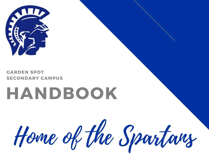



## **HANDBOOK**

Home of the Spartans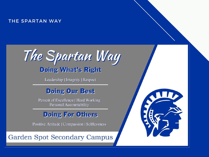#### THE SPARTAN WAY



Leadership | Integrity | Respect

#### **Doing Our Best**

**Pursuit of Excellence | Hard Working Personal Accountability** 

#### **Doing For Others**

Positive Attitude | Compassion | Selflessness

**Garden Spot Secondary Campus** 

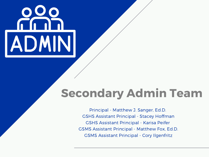# ADMINI

### **Secondary Admin Team**

Principal - Matthew J. Sanger, Ed.D. GSHS Assistant Principal - Stacey Hoffman GSHS Assistant Principal - Karisa Peifer GSMS Assistant Principal - Matthew Fox, Ed.D. GSMS Assistant Principal - Cory Ilgenfritz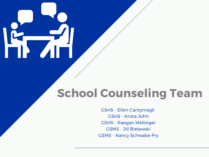## **School Counseling Team**

GSHS - Ellen Cantymagli GSHS - Krista John GSHS - Raegan Mellinger GSMS - Jill Bielawski GSMS - Nancy Schwabe-Fry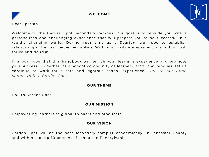



Welcome to the Garden Spot Secondary Campus. Our goal is to provide you with a personalized and challenging experience that will prepare you to be successful in a rapidly changing world. During your time as a Spartan, we hope to establish relationships that will never be broken. With your daily engagement, our school will thrive and flourish.

It is our hope that this handbook will enrich your learning experience and promote your success. Together, as a school community of learners, staff, and families, let us continue to work for a safe and rigorous school experience. *Hail to our Alma Mater. . .Hail to Garden Spot!*

#### **OUR THEME**

Hail to Garden Spot!

#### **OUR MISSION**

Empowering learners as global thinkers and producers.

#### **OUR VISION**

Garden Spot will be the best secondary campus, academically, in Lancaster County and within the top-10 percent of schools in Pennsylvania.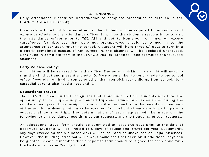#### **ATTENDANCE**

Daily Attendance Procedures (Introduction to complete procedures as detailed in the ELANCO District [Handbook](https://resources.finalsite.net/images/v1639627777/elancok12paus/tapt5za4d6rr0xra06ca/DistrictHandbookUpdated162021.pdf)):

Upon return to school from an absence, the student will be required to submit a valid excuse card/note to the attendance officer. It will be the student's responsibility to visit the attendance officer prior to 7:32 AM and get to Homeroom on time. All excuse cards/notes for absences that were not pre-approved should be turned in to the attendance officer upon return to school. A student will have three (3) days to turn in a properly completed excuse. If not turned in, the absence will be declared unexcused. Continued in complete form in the ELANCO District Handbook. See examples of unexcused absences.

#### **Early Release Policy:**

All children will be released from the office. The person picking up a child will need to sign the child out and present a photo ID. Please remember to send a note to the school office if you plan on having someone other than you pick your child up from school. Noncustodial parents also need a note and ID.

#### **Educational Travel:**

The ELANCO School District recognizes that, from time to time, students may have the opportunity to participate in pre-planned trips and educational experiences during the regular school year. Upon receipt of a prior written request from the parents or guardians of the pupils involved, pupils may be excused from school attendance to participate in educational tours or trips. The determination of each request will be made on the following: prior attendance records, previous requests, and the frequency of such requests.

An educational travel form should be submitted at least two days prior to the date of departure. Students will be limited to 5 days of educational travel per year. Customarily, any days exceeding the 5 allotted days will be counted as unexcused or illegal absences. However, the building principal will always make the final decision if additional days can be granted. Please remember that a separate form should be signed for each child with the Eastern Lancaster County Schools.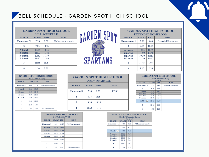#### BELL SCHEDULE - GARDEN SPOT HIGH SCHOOL

| <b>GARDEN SPOT HIGH SCHOOL</b> |              |            |                         |  |  |
|--------------------------------|--------------|------------|-------------------------|--|--|
|                                |              |            | <b>BELL SCHEDULE</b>    |  |  |
| <b>BLOCK</b>                   | <b>START</b> | <b>END</b> | <b>MISC</b>             |  |  |
| Homeroom / 1                   | 7:30         | 9:00       | <b>AM</b> Announcements |  |  |
| 2                              | 9:05         | 10:25      |                         |  |  |
| <b>A</b> Lunch                 | 10:25        | 10:55      |                         |  |  |
| iSpartan                       | 11:00        | 11:40      |                         |  |  |
| iSpartan                       | 10:30        | 11:10      |                         |  |  |
| <b>B</b> Lunch                 | 11:10        | 11:40      |                         |  |  |
| 3                              | 11:45        | 1:05       |                         |  |  |
| 4                              | 1:10         | 2:30       |                         |  |  |



| <b>GARDEN SPOT HIGH SCHOOL</b> |                                           |       |                          |  |  |  |
|--------------------------------|-------------------------------------------|-------|--------------------------|--|--|--|
|                                |                                           |       | <b>EXTENDED HOMEROOM</b> |  |  |  |
| <b>BLOCK</b>                   | <b>START</b><br><b>END</b><br><b>MISC</b> |       |                          |  |  |  |
| $Hom$ eroom / 1                | 7:30                                      | 9:00  | <b>Extended Homeroom</b> |  |  |  |
| 2                              | 9:05                                      | 10:25 |                          |  |  |  |
| A Lunch                        | 10:25                                     | 10:55 |                          |  |  |  |
| iSpartan                       | 11:00                                     | 11:40 |                          |  |  |  |
| iSpartan                       | 10:30                                     | 11:10 |                          |  |  |  |
| <b>B</b> Lunch                 | 11:10                                     | 11:40 |                          |  |  |  |
| 3                              | 11:45                                     | 1:05  |                          |  |  |  |
|                                | 1:10                                      | 2:30  |                          |  |  |  |

| <b>GARDEN SPOT HIGH SCHOOL</b>                            |       |       |                         |  |  |  |
|-----------------------------------------------------------|-------|-------|-------------------------|--|--|--|
| 2-HOUR DELAY [1]                                          |       |       |                         |  |  |  |
| <b>START</b><br><b>BLOCK</b><br><b>END</b><br><b>MISC</b> |       |       |                         |  |  |  |
| Homeroom/1                                                | 9:30  | 10:25 | <b>AM Announcements</b> |  |  |  |
| A Lunch                                                   | 10:25 | 10:55 |                         |  |  |  |
| iSpartan                                                  | 11:00 | 11:40 |                         |  |  |  |
| iSpartan                                                  | 10:30 | 11:10 |                         |  |  |  |
| <b>B</b> Lunch                                            | 11:10 | 11:40 |                         |  |  |  |
| $\mathbf{2}$                                              | 11:45 | 12:35 |                         |  |  |  |
| 3                                                         | 12:40 | 1:30  |                         |  |  |  |
|                                                           | 1:35  | 2:30  | <b>PM</b> Announcements |  |  |  |

| <b>GARDEN SPOT HIGH SCHOOL</b><br><b>EARLY DISMISSAL</b>  |       |       |             |  |  |  |
|-----------------------------------------------------------|-------|-------|-------------|--|--|--|
| <b>START</b><br><b>END</b><br><b>BLOCK</b><br><b>MISC</b> |       |       |             |  |  |  |
| Homeroom/1                                                | 7:30  | 8:30  | <b>KGSH</b> |  |  |  |
|                                                           | 8:35  | 9:25  |             |  |  |  |
| 3                                                         | 9:30  | 10:20 |             |  |  |  |
|                                                           | 10:25 | 11:15 |             |  |  |  |

| CLUB / CharacterStrong<br><b>[O2 &amp; O4]</b> |              |            |                  |  |  |
|------------------------------------------------|--------------|------------|------------------|--|--|
| <b>BLOCK</b>                                   | <b>START</b> | <b>END</b> | <b>MISC</b>      |  |  |
| Homeroom / 1                                   | 7:30         | 9:00       | AM Announcements |  |  |
| 2                                              | 9:05         | 10:25      |                  |  |  |
| $\sim$                                         | 10000        | 10.77      |                  |  |  |

**GARDEN SPOT HIGH SCHOOL** 

| A Lunch         | 10:25 | 10:55 |  |
|-----------------|-------|-------|--|
| <b>iSpartan</b> | 11:00 | 11:40 |  |
| iSpartan        | 10:30 | 11:10 |  |
| <b>B</b> Lunch  | 11:10 | 11:40 |  |
| CLUB / G        | 11:45 | 12:40 |  |
| 3               | 12:45 | 1:35  |  |
|                 | 1:40  | 2:30  |  |

| <b>GARDEN SPOT HIGH SCHOOL</b><br>2-HOUR DELAY [2]        |       |       |                         |  |  |  |
|-----------------------------------------------------------|-------|-------|-------------------------|--|--|--|
| <b>START</b><br><b>BLOCK</b><br><b>END</b><br><b>MISC</b> |       |       |                         |  |  |  |
| Homeroom/2                                                | 9:30  | 10:25 | <b>AM Announcements</b> |  |  |  |
| <b>A</b> Lunch                                            | 10:25 | 10:55 |                         |  |  |  |
| iSpartan                                                  | 11:00 | 11:40 |                         |  |  |  |
| <i>iSpartan</i>                                           | 10:30 | 11:10 |                         |  |  |  |
| <b>B</b> Lunch                                            | 11:10 | 11:40 |                         |  |  |  |
| 1                                                         | 11:45 | 12:35 |                         |  |  |  |
| 3                                                         | 12:40 | 1:30  |                         |  |  |  |
| 4                                                         | 1:35  | 2:30  | <b>PM Announcements</b> |  |  |  |

| <b>GARDEN SPOT HIGH SCHOOL</b> |              |            |                         |  |
|--------------------------------|--------------|------------|-------------------------|--|
|                                |              |            | CLUB / CharacterStrong  |  |
|                                |              | [Q1 & Q3]  |                         |  |
| <b>BLOCK</b>                   | <b>START</b> | <b>END</b> | <b>MISC</b>             |  |
| Homeroom / 1                   | 7:30         | 8:30       | <b>AM</b> Announcements |  |
| 2                              | 8:35         | 9:25       |                         |  |
| CLUB / 65                      | 9.30         | $10 - 25$  |                         |  |
| A Lunch                        | 10:25        | 10:55      |                         |  |
| iSpartan                       | 11:00        | 11:40      |                         |  |
| iSpartan                       | 10:30        | 11:10      |                         |  |
| <b>B</b> Lunch                 | 11:10        | 11:40      |                         |  |
| 3                              | 11:45        | 1:05       |                         |  |
|                                | 1:10         | 2:30       |                         |  |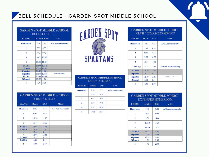#### BELL SCHEDULE - GARDEN SPOT MIDDLE SCHOOL

#### **GARDEN SPOT MIDDLE SCHOOL BELL SCHEDULE**

| <b>PERIOD</b>   |       | <b>START END</b> | <b>MISC</b>             |
|-----------------|-------|------------------|-------------------------|
| <b>Homeroom</b> | 7:30  | 7:35             | <b>AM Announcements</b> |
| 1               | 7:39  | 8:39             |                         |
| $\overline{2}$  | 8:43  | 9:43             |                         |
| 3               | 9:47  | 10:47            |                         |
| 4               | 10:51 | 11:51            |                         |
| <b>SALSA</b>    |       | 11:55 12:12      |                         |
| <b>A</b> Lunch  | 12:12 | 12:42            |                         |
| iSpartan        | 12:46 | 1:26             |                         |
| iSpartan        | 11:55 | 12:35            | <b>GSMS</b> Ensembles   |
| <b>SALSA</b>    | 12:39 | 12:56            |                         |
| <b>B</b> Lunch  | 12:56 | 1:26             |                         |
| 5               | 1:30  | 2:30             |                         |

| <b>GARDEN SPOT MIDDLE SCHOOL</b><br>2-HOUR DELAY   |  |  |  |  |  |
|----------------------------------------------------|--|--|--|--|--|
| <b>START</b><br><b>MISC</b><br><b>BLOCK</b><br>END |  |  |  |  |  |

| Homeroom       | 9:30  | 9:35  | <b>AM Announcements</b> |
|----------------|-------|-------|-------------------------|
| 1              | 9:39  | 10:24 |                         |
| 2              | 10:28 | 11:13 |                         |
|                | 11:17 | 12:02 |                         |
| 3              |       |       |                         |
| <b>A Lunch</b> | 12:06 | 12:36 |                         |
| <b>SALSA</b>   | 12:36 | 12:52 |                         |
|                | 12:56 | 1:41  |                         |
|                | 12:06 | 12:51 |                         |
| <b>B</b> Lunch | 12:55 | 1:25  |                         |
| <b>SALSA</b>   | 1:25  | 1:41  |                         |



| <b>GARDEN SPOT MIDDLE SCHOOL</b><br><b>EARLY DISMISSAL</b> |              |            |                         |  |  |
|------------------------------------------------------------|--------------|------------|-------------------------|--|--|
| <b>PERIOD</b>                                              | <b>START</b> | <b>END</b> | <b>MISC</b>             |  |  |
| <b>Homeroom</b>                                            | 7:30         | 7:35       | <b>AM Announcements</b> |  |  |
| 1                                                          | 7:39         | 8:19       |                         |  |  |
| 2                                                          | 8:23         | 9:03       |                         |  |  |
| 3                                                          | 9:07         | 9:47       |                         |  |  |
| 4                                                          | 9:51         | 10:31      |                         |  |  |
| 5                                                          | 10:35        | 11:15      |                         |  |  |

#### **GARDEN SPOT MIDDLE SCHOOL** CLUB / CHARACTERSTRONG

| <b>PERIOD</b>   | <b>START</b> | <b>END</b> | <b>MISC</b>             |
|-----------------|--------------|------------|-------------------------|
| <b>Homeroom</b> | 7:30         | 7:35       | <b>AM</b> Announcements |
| 1               | 7:39         | 8:34       |                         |
| 2               | 8:38         | 9:33       |                         |
| 3               | 9:37         | 10:32      |                         |
| 4               | 10:36        | 11:31      |                         |
| Club / Gs       | 11:35        | 12:15      | Club & CharacterStrong  |
| <b>A</b> Lunch  | 12:19        | 12:49      |                         |
| iSpartan        | 12:53        | 1:31       |                         |
| iSpartan        | 12:19        | 12:57      | <b>GSMS</b> Ensembles   |
| <b>B</b> Lunch  | 1:01         | 1:31       |                         |
| 5               | 1:35         | 2:30       |                         |

#### **GARDEN SPOT MIDDLE SCHOOL EXTENDED HOMEROOM**

| <b>PERIOD</b>   | <b>START</b> | <b>END</b> | <b>MISC</b>             |
|-----------------|--------------|------------|-------------------------|
| <b>Homeroom</b> | 7:30         | 9:00       | <b>AM Announcements</b> |
| 1               | 9:04         | 9:52       |                         |
| $\overline{2}$  | 9:56         | 10:44      |                         |
| 3               | 10:48        | 11:36      |                         |
| Δ               | 11:40        | 12:28      |                         |
| A Lunch         | 12:32        | 1:02       |                         |
| iSpartan        | 1:06         | 1:36       |                         |
| iSpartan        | 12:32        | 1:02       |                         |
| <b>B</b> Lunch  | 1:06         | 1:36       |                         |
| 5               | 1:40         | 2:30       |                         |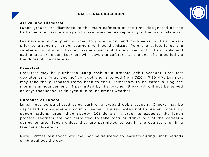#### **CAFETERIA PROCEDURE**



#### **Ar r ival and Dismissal:**

Lunch groups are dismissed to the main cafeteria at the time designated on the bell schedule. Learners may go to lavatories before reporting to the main cafeteria.

Learners are strongly encouraged to place books and backpacks in their lockers prior to attending lunch. Learners will be dismissed from the cafeteria by the cafeteria monitor in charge. Learners will not be excused until their table and eating area are clean. Learners will leave the cafeteria at the end of the period via the doors of the cafeteria.

#### **Breakfast :**

Breakfast may be purchased using cash or a prepaid debit account. Breakfast operates as a "grab and go" concept and is served from 7:20 – 7:30 AM. Learners may take the purchased items back to their Homeroom to be eaten during the morning announcements if permitted by the teacher. Breakfast will not be served on days that school is delayed due to inclement weather.

#### **Purchase of Lunch:**

Lunch may be purchased using cash or a prepaid debit account. Checks may be deposited into cafeteria accounts. Learners are requested not to present monetary denominations larger than twenty (20) dollars in order to expedite the lunch process. Learners are not permitted to take food or drinks out of the cafeteria during or after lunch unless they are permitted to eat in the courtyard or in a teacher's classroom.

Note - Pizzas, fast foods, etc. may not be delivered to learners during lunch periods or throughout the day.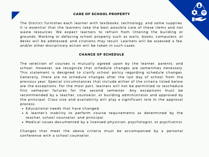#### **CARE OF SCHOOL PROPERTY**



The District furnishes each learner with textbooks, technology, and some supplies. It is essential that the learners take the best possible care of these items and not waste resources. We expect learners to refrain from littering the building or grounds. Marking or defacing school property such as walls, books, computers, or desks will be addressed, and citations may result. Learners will be assessed a fee, and/or other disciplinary action will be taken in such cases.

#### **CHANGE OF SCHEDULE**

The selection of courses is mutually agreed upon by the learner, parents, and school. However, we recognize that schedule changes are sometimes necessary. This statement is designed to clarify school policy regarding schedule changes. Generally, there are no schedule changes after the last day of school from the previous year. Special circumstances that include either of the criteria listed below are the exceptions. For the most part, learners will not be permitted to reschedule first semester failures for the second semester. Any exceptions must be recommended by a teacher, counselor, or building administrator and approved by the principal. Class size and availability will play a significant role in the approval process.

- Educational needs that have changed.
- A learner's inability to perform course requirements as determined by the teacher, school counselor, and principal.
- Medical issues documented by a licensed physician, psychologist, or psychiatrist.

Changes that meet the above criteria must be accompanied by a personal conference with a school counselor.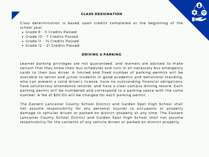



Class determination is based upon credits completed at the beginning of the school year.

- Grade 9 0 Credits Passed
- Grade 10 7 Credits Passed
- Grade 11 14 Credits Passed
- Grade 12 21 Credits Passed

#### **DRIVING & PARKING**

Learner parking privileges are not guaranteed, and learners are advised to make certain that they know their bus schedules and turn in all necessary bus emergency cards to their bus driver. A limited and fixed number of parking permits will be available to senior and junior students in good academic and behavioral standing, who can present a valid driver's license, have no outstanding financial obligations, have satisfactory attendance records, and have a clear campus driving record. Each parking permit will be numbered and correspond to a parking space with the same number. A fee of \$30.00 will be charged for each parking permit.

The Eastern Lancaster County School District and Garden Spot High School shall not assume responsibility for any personal injuries to occupants or property damage to vehicles driven or parked on district property at any time. The Eastern Lancaster County School District and Garden Spot High School shall not assume responsibility for the contents of any vehicle driven or parked on district property.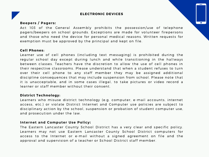#### **ELECTRONIC DEVICES**

#### **Beepers / Pagers:**

Act 103 of the General Assembly prohibits the possession/use of telephone pagers/beepers on school grounds. Exceptions are made for volunteer firepersons and those who need the device for personal medical reasons. Written requests for exemption must be approved by the principal and kept on file.

#### **Cell Phones:**

Learner use of cell phones (including text messaging) is prohibited during the regular school day except during lunch and while transitioning in the hallways between classes. Teachers have the discretion to allow the use of cell phones in their respective classrooms. Please understand that when a student refuses to turn over their cell phone to any staff member they may be assigned additional discipline consequences that may include suspension from school. Please note that it is unacceptable, and in some cases illegal, to take pictures or video record a learner or staff member without their consent.

#### **District Technology:**

Learners who misuse district technology (e.g. computer, e-mail accounts, internet access, etc.) or violate District Internet and Computer use policies are subject to disciplinary action by the school, suspension or probation of student computer use, and prosecution under the law.

#### **Internet and Computer Use Policy:**

The Eastern Lancaster County School District has a very clear and specific policy. Learners may not use Eastern Lancaster County School District computers for access to the Internet or e-mail without a signed agreement on file and the approval and supervision of a teacher or School District staff member.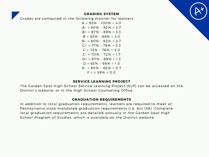

#### **GRADING SYSTEM**

Grades are computed in the following manner for learners:

 $A = 93\% - 100\% = 4.0$  $A - 90\% - 92\% = 3.7$  $B+ = 87\% - 89\% = 3.3$  $B = 83\% - 86\% = 3.0$  $B - 80\% - 82\% = 2.7$  $C_+$  = 77% - 79% = 2.3  $C = 73\% - 76\% = 2.0$  $C - 70\% - 72\% = 1.7$  $D+ = 67\% - 69\% = 1.3$  $D = 63\% - 66\% = 1.0$  $D - 50\% - 62\% = 0.7$  $F = 59\% = 0.0$ 

#### **SERVICE LEARNING PROJECT**

The Garden Spot High School Service Learning Project (SLP) can be accessed on the District's website, or in the High School Counseling Office.

#### **GRADUATION REQUIREMENTS**

In addition to local graduation requirements, learners are required to meet all Pennsylvania state-mandated graduation requirements (i.e. Act 158). Complete local graduation requirements are detailed annually in the Garden Spot High School Program of Studies, which is available on the District website.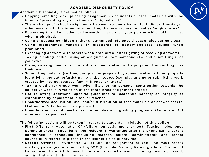#### **ACADEMIC DISHONESTY POLICY**

Academic Dishonesty is defined as follows:

- Copying, emailing, or duplicating assignments, documents or other materials with the intent of presenting any such items as "original work".
- The exchange of school assignments between students by printout, digital transfer, or other means with the intent of submitting the received assignment as "original work".
- Possessing formulas, codes, or keywords, answers on your person while taking a test when prohibited.
- Using or possessing hidden and/or unauthorized reference sheets or aids during a test.
- Using programmed materials in electronic or battery-operated devices when prohibited.
- Exchanging answers with others when prohibited (either giving or receiving answers).
- . Taking, stealing, and/or using an assignment from someone else and submitting it as your own.
- Giving an assignment or document to someone else for the purpose of submitting it as their own.
- Submitting material (written, designed, or prepared by someone else) without properly identifying the author/artist name and/or source (e.g. plagiarizing or submitting work created by internet sources, family, friends, or tutors.)
- Taking credit for group work when little or no personal contribution towards the collective work is in violation of the established assignment criteria.
- . Not following additional specific guidelines for academic honesty or integrity as established by department, class, or teacher.
- Unauthorized acquisition, use, and/or distribution of test materials or answer sheets. (Automatic 3rd offense consequences)
- . Unauthorized use of teacher computer files and grading programs. (Automatic 3rd offense consequences)

The following actions will be taken in regard to students in violation of this policy:

- **First Offense** Automatic "0" (failure) on assignment or test. Teacher telephones parent to explain specifics of the incident. If warranted after the phone call, a parent conference is scheduled including teacher, parent, administrator, and school counselor. A referral is placed in the learner's disciplinary file.
- **Second Offense -** Automatic "0" (failure) on assignment or test. The most recent marking period grade is reduced by 50% (Example: Marking Period grade is 82%, would be reduced to 41%.) A parent conference is scheduled including teacher, parent, administrator and school counselor.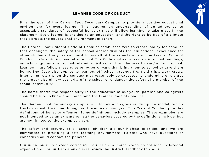#### **LEARNER CODE OF CONDUCT**

It is the goal of the Garden Spot Secondary Campus to provide a positive educational environment for every learner. This requires an understanding of an adherence to acceptable standards of respectful behavior that will allow learning to take place in the classroom. Every learner is entitled to an education, and the right to be free of a climate that disrupts the educational environment of others.

The Garden Spot Student Code of Conduct establishes zero-tolerance policy for conduct that endangers the safety of the school and/or disrupts the educational experience for other students. Every learner must follow all of the expectations of the Learner Code of Conduct before, during, and after school. The Code applies to learners in school buildings, on school grounds, at school-related activities, and on the way to and/or from school. Learners must follow these rules on buses or vans that bring them to school or take them home. The Code also applies to learners off school grounds (i.e. field trips, work crews, internships, etc.) when the conduct may reasonably be expected to undermine or disrupt the proper disciplinary authority of the school or endanger the safety of a member of the school community.

The home shares the responsibility in the education of our youth; parents and caregivers should be sure to know and understand the Learner Code of Conduct.

The Garden Spot Secondary Campus will follow a progressive discipline model, which tracks student discipline throughout the entire school year. This Code of Conduct provides definitions of behavior offenses. Some definitions include examples. These examples are not intended to be an exhaustive list; the behaviors covered by the definitions include, but are not limited to, the examples given.

The safety and security of all school children are our highest priorities, and we are committed to providing a safe learning environment. Parents who have questions or concerns should contact the principal.

Our intention is to provide corrective instruction to learners who do not meet behavioral expectations. For further details please review the District Handbook (pp. 4-6).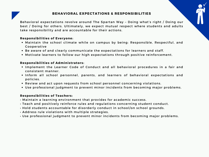Behavioral expectations revolve around The Spartan Way - Doing what's right / Doing our best / Doing for others. Ultimately, we expect mutual respect where students and adults take responsibility and are accountable for their actions.

#### **Responsibili t ies of Everyone:**

- Maintain the school climate while on campus by being: Responsible, Respectful, and **Cooperative**
- Be aware of and clearly communicate the expectations for learners and staff.
- Motivate learners to follow our high expectations through positive reinforcement.

#### **Responsibili t ies of Administ rators:**

- Implement the Learner Code of Conduct and all behavioral procedures in a fair and consistent manner.
- . Inform all school personnel, parents, and learners of behavioral expectations and policies.
- Review and act upon requests from school personnel concerning violations.
- Use professional judgment to prevent minor incidents from becoming major problems.

#### **Responsibili t ies of Teachers:**

- Maintain a learning environment that provides for academic success.
- Teach and positively reinforce rules and regulations concerning student conduct.
- Hold students accountable for disorderly conduct in school/on school grounds.
- Address rule violations with multiple strategies.
- Use professional judgment to prevent minor incidents from becoming major problems.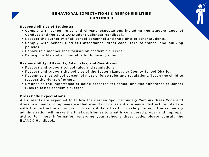#### **Responsibilities of Students:**

- Comply with school rules and climate expectations including the Student Code of Conduct and the ELANCO Student Calendar Handbook.
- Respect the authority of all school personnel and the rights of other students.
- . Comply with School District's attendance, dress code, zero tolerance, and bullying policies.
- Behave in a manner that focuses on academic success.
- Be responsible and accountable for following rules.

#### **Responsibility of Parents, Advocates, and Guardians:**

- Respect and support school rules and regulations.
- Respect and support the policies of the Eastern Lancaster County School District.
- . Recognize that school personnel must enforce rules and regulations. Teach the child to respect the rights of others.
- Emphasize the importance of being prepared for school and the adherence to school rules to foster academic success.

#### **Dress Code Expectations:**

All students are expected to follow the Garden Spot Secondary Campus Dress Code and dress in a manner of appearance that would not cause a disturbance, distract, or interfere with the instructional program, or constitute a health or safety hazard. The secondary administration will make the final decision as to what is considered proper and improper attire. For more information regarding your school's dress code, please consult the ELANCO Handbook.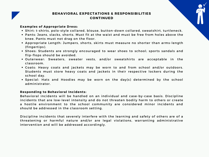

#### **Examples of Appropriate Dress:**

- Shirt: t-shirts, polo-style collared, blouse, button-down collared, sweatshirt, turtleneck.
- Pants: Jeans, slacks, shorts. Must fit at the waist and must be free from holes above the knee. Pants must not drag on the floor.
- Appropriate Length: Jumpers, shorts, skirts must measure no shorter than arms-length  $(finqertips)$ .
- Shoes: Students are strongly encouraged to wear shoes to school; sports sandals and flip-flops should be avoided.
- Outerwear: Sweaters, sweater vests, and/or sweatshirts are acceptable in the classroom.
- Coats: Heavy coats and jackets may be worn to and from school and/or outdoors. Students must store heavy coats and jackets in their respective lockers during the school day.
- Special: Hats and Hoodies may be worn on the day(s) determined by the school administrator.

#### **Responding to Behavioral Incidents:**

Behavioral incidents will be handled on an individual and case-by-case basis. Discipline incidents that are low-level intensity and do not threaten bodily harm to others or create a hostile environment to the school community are considered minor incidents and should be addressed in the classroom setting.

Discipline incidents that severely interfere with the learning and safety of others are of a threatening or harmful nature and/or are legal violations, warranting administrative intervention and will be addressed accordingly.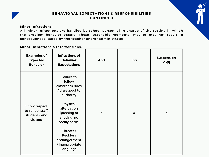#### **Minor Inf ract ions:**

All minor infractions are handled by school personnel in charge of the setting in which the problem behavior occurs. These "teachable moments" may or may not result in consequences issued by the teacher and/or administrator.

#### **Minor Inf ract ions & Intervent ions:**

| <b>Examples of</b><br><b>Expected</b><br><b>Behavior</b>       | <b>Infractions of</b><br><b>Behavior</b><br><b>Expectations</b>                                                                                                                                                                       | <b>ASD</b>   | <b>ISS</b>                | <b>Suspension</b><br>$(1-5)$ |
|----------------------------------------------------------------|---------------------------------------------------------------------------------------------------------------------------------------------------------------------------------------------------------------------------------------|--------------|---------------------------|------------------------------|
| Show respect<br>to school staff,<br>students, and<br>visitors. | <b>Failure to</b><br>follow<br>classroom rules<br>/ disrespect to<br>authority<br>Physical<br>altercation<br>(pushing or<br>shoving, no<br>bodily harm)<br>Threats /<br><b>Reckless</b><br>endangerment<br>/Inappropriate<br>language | $\mathsf{X}$ | $\boldsymbol{\mathsf{X}}$ | $\mathsf{X}$                 |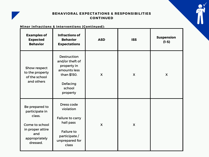

#### **Minor Infractions & Interventions (Continued):**

| <b>Examples of</b><br><b>Expected</b><br><b>Behavior</b>                                                             | <b>Infractions of</b><br><b>Behavior</b><br><b>Expectations</b>                                                          | <b>ASD</b>   | <b>ISS</b> | <b>Suspension</b><br>$(1-5)$ |
|----------------------------------------------------------------------------------------------------------------------|--------------------------------------------------------------------------------------------------------------------------|--------------|------------|------------------------------|
| Show respect<br>to the property<br>of the school<br>and others                                                       | <b>Destruction</b><br>and/or theft of<br>property in<br>amounts less<br>than \$150.<br>Defacing<br>school<br>property    | $\mathsf{X}$ | X          | X                            |
| Be prepared to<br>participate in<br>class.<br>Come to school<br>in proper attire<br>and<br>appropriately<br>dressed. | Dress code<br>violation<br>Failure to carry<br>hall pass<br><b>Failure to</b><br>participate/<br>unprepared for<br>class | $\mathsf{X}$ | X          |                              |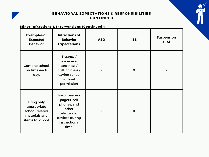

#### **Minor Infractions & Interventions (Continued):**

| <b>Examples of</b><br><b>Expected</b><br><b>Behavior</b>                               | <b>Infractions of</b><br><b>Behavior</b><br><b>Expectations</b>                                                   | <b>ASD</b>   | <b>ISS</b>   | <b>Suspension</b><br>$(1-5)$ |
|----------------------------------------------------------------------------------------|-------------------------------------------------------------------------------------------------------------------|--------------|--------------|------------------------------|
| Come to school<br>on time each<br>day.                                                 | Truancy/<br>excessive<br>tardiness /<br>cutting class /<br>leaving school<br>without<br>permission                | $\mathsf{X}$ | X            | X                            |
| <b>Bring only</b><br>appropriate<br>school-related<br>materials and<br>items to school | Use of beepers,<br>pagers, cell<br>phones, and<br>other<br>electronic<br>devices during<br>instructional<br>time. | $\mathsf{X}$ | $\mathsf{X}$ |                              |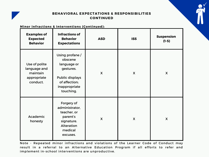

#### **Minor Inf ract ions & Intervent ions (Cont inued):**

| <b>Examples of</b><br><b>Expected</b><br><b>Behavior</b>             | <b>Infractions of</b><br><b>Behavior</b><br><b>Expectations</b>                                                                 | <b>ASD</b>   | <b>ISS</b>   | <b>Suspension</b><br>$(1-5)$ |
|----------------------------------------------------------------------|---------------------------------------------------------------------------------------------------------------------------------|--------------|--------------|------------------------------|
| Use of polite<br>language and<br>maintain<br>appropriate<br>conduct. | Using profane /<br>obscene<br>language or<br>gestures.<br><b>Public displays</b><br>of affection;<br>inappropriate<br>touching. | $\mathsf{X}$ | $\mathsf{X}$ | $\mathsf{x}$                 |
| Academic<br>honesty                                                  | Forgery of<br>administrator,<br>teacher, or<br>parent's<br>signature.<br><b>Alteration</b><br>medical<br>excuses.               | $\mathsf{X}$ | $\mathsf{X}$ | $\mathsf{X}$                 |

Note - Repeated minor infractions and violations of the Learner Code of Conduct may result in a referral to an Alternative Education Program if all efforts to refer and implement in-school interventions are unproductive.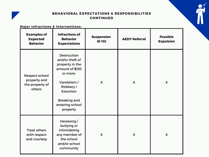

#### **Major Inf ract ions & Intervent ions:**

| <b>Examples of</b><br><b>Expected</b><br><b>Behavior</b>    | <b>Infractions of</b><br><b>Behavior</b><br><b>Expectations</b>                                                                                                                              | <b>Suspension</b><br>$(6-10)$ | <b>AEDY Referral</b> | <b>Possible</b><br><b>Expulsion</b> |
|-------------------------------------------------------------|----------------------------------------------------------------------------------------------------------------------------------------------------------------------------------------------|-------------------------------|----------------------|-------------------------------------|
| Respect school<br>property and<br>the property of<br>others | <b>Destruction</b><br>and/or theft of<br>property in the<br>amount of \$150<br>or more.<br>Vandalism /<br>Robbery/<br><b>Extortion</b><br><b>Breaking and</b><br>entering school<br>property | $\mathsf{X}$                  | $\boldsymbol{X}$     | $\mathsf{X}$                        |
| <b>Treat others</b><br>with respect<br>and courtesy         | Harassing /<br>bullying or<br>intimidating<br>any member of<br>the school<br>and/or school<br>community                                                                                      | $\mathsf{X}$                  | X                    | X                                   |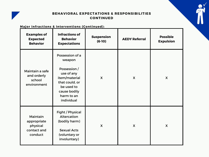

#### **Major Infractions & Interventions (Continued):**

| <b>Examples of</b><br><b>Expected</b><br><b>Behavior</b>      | <b>Infractions of</b><br><b>Behavior</b><br><b>Expectations</b>                                                                                      | <b>Suspension</b><br>$(6-10)$ | <b>AEDY Referral</b> | <b>Possible</b><br><b>Expulsion</b> |
|---------------------------------------------------------------|------------------------------------------------------------------------------------------------------------------------------------------------------|-------------------------------|----------------------|-------------------------------------|
| Maintain a safe<br>and orderly<br>school<br>environment       | Possession of a<br>weapon<br>Possession /<br>use of any<br>item/material<br>that could, or<br>be used to<br>cause bodily<br>harm to an<br>individual | $\mathsf{X}$                  | $\boldsymbol{X}$     | $\boldsymbol{\mathsf{X}}$           |
| Maintain<br>appropriate<br>physical<br>contact and<br>conduct | Fight / Physical<br>Altercation<br>(bodily harm)<br><b>Sexual Acts</b><br>(voluntary or<br>involuntary)                                              | $\mathsf{X}$                  | X                    | X                                   |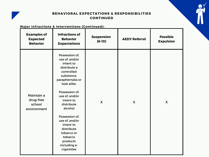

#### **Major Inf ract ions & Intervent ions (Cont inued):**

| <b>Examples of</b><br><b>Expected</b><br><b>Behavior</b> | <b>Infractions of</b><br><b>Behavior</b><br><b>Expectations</b>                                                                                                                                                                                                                                                                          | <b>Suspension</b><br>$(6-10)$ | <b>AEDY Referral</b> | <b>Possible</b><br><b>Expulsion</b> |
|----------------------------------------------------------|------------------------------------------------------------------------------------------------------------------------------------------------------------------------------------------------------------------------------------------------------------------------------------------------------------------------------------------|-------------------------------|----------------------|-------------------------------------|
| Maintain a<br>drug-free<br>school<br>environment         | Possession of,<br>use of, and/or<br>intent to<br>distribute a<br>controlled<br>substance,<br>paraphernalia or<br>look alike.<br>Possession of,<br>use of, and/or<br>intent to<br>distribute<br>alcohol<br>Possession of.<br>use of, and/or<br>intent to<br>distribute<br>tobacco or<br>tobacco<br>products<br>including e-<br>cigarettes | $\mathsf{X}$                  | $\mathsf{X}$         | X                                   |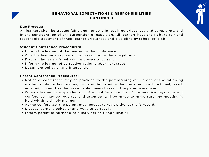#### **Due Process:**

All learners shall be treated fairly and honestly in resolving grievances and complaints, and in the consideration of any suspension or expulsion. All learners have the right to fair and reasonable treatment of their learner grievances and discipline by school officials.

#### **Student Conference Procedures:**

- Inform the learner of the reason for the conference.
- Give the learner an opportunity to respond to the allegation(s).
- Discuss the learner's behavior and ways to correct it.
- Inform the learner of corrective action and/or next steps.
- Document behavior and intervention.

#### **Parent Conference Procedures:**

- Notice of conference may be provided to the parent/caregiver via one of the following mediums: phone, text, writing, or hand-delivered to the home, sent certified mail, faxed, emailed, or sent by other reasonable means to reach the parent/caregiver.
- When a learner is suspended out of school for more than 5 consecutive days, a parent conference may be required and attempts will be made to make sure the meeting is held within a timely manner.
- At the conference, the parent may request to review the learner's record.
- Discuss learner's behavior and ways to correct it.
- Inform parent of further disciplinary action (if applicable).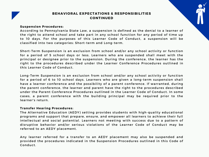#### **Suspension Procedures:**

According to Pennsylvania State Law, a suspension is defined as the denial to a learner of the right to attend school and take part in any school function for any period of time up to 10 days. For the purposes of this Learner Code of Conduct , a suspension will be classified into two categories: Short-term and Long-term.

Short-Term Suspension is an exclusion from school and/or any school activity or function for a period of 5 school days or less. Learners who are suspended shall meet with the principal or designee prior to the suspension. During the conference, the learner has the right to the procedures described under the Learner Conference Procedures outlined in this Learner Code of Conduct.

Long-Term Suspension is an exclusion from school and/or any school activity or function for a period of 6 to 10 school days. Learners who are given a long- term suspension shall have a learner conference and the possibility of a parent conference. If warranted, during the parent conference, the learner and parent have the right to the procedures described under the Parent Conference Procedures out lined in the Learner Code of Conduct . In some cases, a parent conference with the building principal may be required prior to the learner's return.

#### **Transfer Hear ing Procedures:**

The Alternative Education (AEDY) setting provides students with high-quality educational programs and support that prepare, ensure, and empower all learners to achieve their full intellectual and social potential. Learners not meeting with success due to a pattern of disruptive behavior and/or serious violations of the Learner Code of Conduct may be referred to an AEDY placement.

Any learner referred for a transfer to an AEDY placement may also be suspended and provided the procedures indicated in the Suspension Procedures outlined in this Code of Conduct.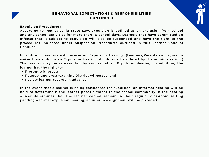#### **Expulsion Procedures:**

According to Pennsylvania State Law, expulsion is defined as an exclusion from school and any school activities for more than 10 school days. Learners that have committed an offense that is subject to expulsion will also be suspended and have the right to the procedures indicated under Suspension Procedures out lined in this Learner Code of Conduct .

In addition, learners will receive an Expulsion Hearing. (Learners/Parents can agree to waive their right to an Expulsion Hearing should one be offered by the administration.) The learner may be represented by counsel at an Expulsion Hearing. In addition, the learner has the right to:

- Present witnesses:
- Request and cross-examine District witnesses; and
- Review learner records in advance

In the event that a learner is being considered for expulsion, an informal hearing will be held to determine if the learner poses a threat to the school community. If the hearing officer determines that the learner cannot remain in their regular classroom setting pending a formal expulsion hearing, an interim assignment will be provided.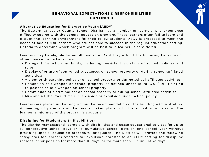#### **Alternative Education for Disruptive Youth (AEDY):**

The Eastern Lancaster County School District has a number of learners who experience difficulty coping with the general education program. These learners often fail to learn and disrupt the learning environment for their fellow students. AEDY is proposed to meet the needs of said at-risk learners who are not able to succeed in the regular education setting. Criteria to determine which program will be best for a learner, is considered.

Learners may be eligible for enrollment in AEDY if they exhibit the following behaviors or other unacceptable behaviors:

- Disregard for school authority, including persistent violation of school policies and rules;
- Display of or use of controlled substances on school property or during school-affiliated activities;
- Violent or threatening behavior on school property or during school-affiliated activities;
- Possession of a weapon on school property, as defined under 18 Pa. C.S. \$ 912 (relating to possession of a weapon on school property);
- Commission of a criminal act on school property or during school-affiliated activities;
- Misconduct that would merit suspension or expulsion under school policy.

Learners are placed in the program on the recommendation of the building administration. A meeting of parents and the learner takes place with the school administrator. The learner is informed of the program's structure.

#### **Discipline for Students wi th Disabili t ies:**

The District may suspend learners with disabilities and cease educational services for up to 10 consecutive school days or 15 cumulative school days in one school year without providing special education procedural safeguards. The District will provide the following safeguards for learners referred for expulsion, transfer to an AEDY setting for discipline reasons, or suspension for more than 10 days, or for more than 15 cumulative days: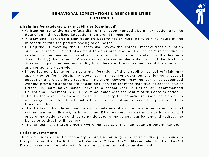

#### **Discipline for Students with Disabilities (Continued):**

- Written notice to the parent/guardian of the recommended disciplinary action and the date of an Individualized Education Program (IEP) meeting.
- A team shall convene a Manifestation Determination meeting within 72 hours of the misconduct with the parents having been invited.
- During the IEP meeting, the IEP team shall review the learner's most current evaluation and the learner's IEP and placement to determine whether the learner's misconduct is related to the learner's disability. The misconduct is not related to the learner's disability if (i) the current IEP was appropriate and implemented; and (ii) the disability does not impair the learner's ability to understand the consequences of their behavior and control their behavior.
- If the learner's behavior is not a manifestation of the disability, school officials may apply the Uniform Discipline Code, taking into consideration the learner's special education and disciplinary records. In no event, however, may the learner be suspended without providing appropriate educational services for more than five (5) consecutive or fifteen (15) cumulative school days in a school year. A Notice of Recommended Educational Placement (NOREP) must be issued with the results of this determination.
- The IEP team shall review and revise, if necessary, the behavior intervention plan or, as necessary, complete a functional behavior assessment and intervention plan to address the misconduct.
- The IEP team shall determine the appropriateness of an interim alternative educational setting, and as indicated, include in the IEP those services and modifications that will enable the student to continue to participate in the general curriculum and address the behavior so that it will not recur.
- The IEP team shall issue a NOREP with the results of the Manifestation Determination.

#### **Police Involvement:**

There are times when the secondary administration may need to refer discipline issues to the police or the ELANCO School Resource Officer (SRO). Please refer to the ELANCO District Handbook for detailed information concerning police involvement.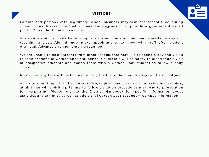#### **VISITORS**

Parents and persons with legitimate school business may visit the school time during school hours. Please note that all parents/caregivers must provide a government-issued photo ID in order to pick up a child.

Visits with staff can only be accomplished when the staff member is available and not teaching a class. Alumni must make appointments to meet with staff after student dismissal. Advance arrangements are required.

We are unable to host students from other schools that may like to spend a day and visit a relative or friend at Garden Spot. Our School Counselors will be happy to prearrange a visit of prospective students and match them with a Garden Spot student to follow a daily schedule.

No visits of any type will be honored during the first or last ten (10) days of the school year.

All visitors must report to the closest office, register, and wear a visitor badge in clear view, at all times while visiting. Failure to follow visitation procedures may lead to prosecution for trespassing. Please refer to the District Handbook for specific information about activities and athletics as well as additional Garden Spot Secondary Campus information.